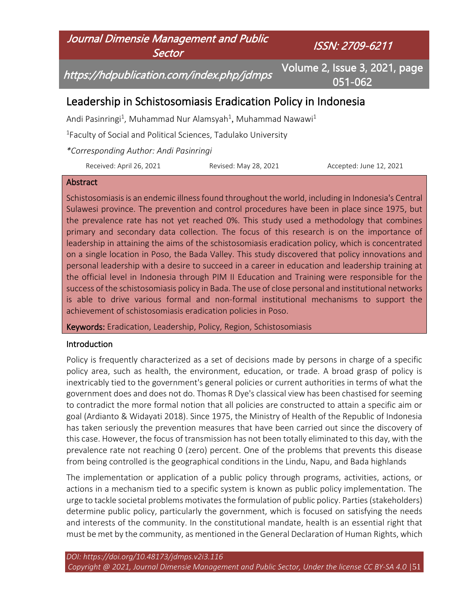

#### **Abstract**

Schistosomiasis is an endemic illness found throughout the world, including in Indonesia's Central Sulawesi province. The prevention and control procedures have been in place since 1975, but the prevalence rate has not yet reached 0%. This study used a methodology that combines primary and secondary data collection. The focus of this research is on the importance of leadership in attaining the aims of the schistosomiasis eradication policy, which is concentrated on a single location in Poso, the Bada Valley. This study discovered that policy innovations and personal leadership with a desire to succeed in a career in education and leadership training at the official level in Indonesia through PIM II Education and Training were responsible for the success of the schistosomiasis policy in Bada. The use of close personal and institutional networks is able to drive various formal and non-formal institutional mechanisms to support the achievement of schistosomiasis eradication policies in Poso.

Keywords: Eradication, Leadership, Policy, Region, Schistosomiasis

### Introduction

Policy is frequently characterized as a set of decisions made by persons in charge of a specific policy area, such as health, the environment, education, or trade. A broad grasp of policy is inextricably tied to the government's general policies or current authorities in terms of what the government does and does not do. Thomas R Dye's classical view has been chastised for seeming to contradict the more formal notion that all policies are constructed to attain a specific aim or goal (Ardianto & Widayati 2018). Since 1975, the Ministry of Health of the Republic of Indonesia has taken seriously the prevention measures that have been carried out since the discovery of this case. However, the focus of transmission has not been totally eliminated to this day, with the prevalence rate not reaching 0 (zero) percent. One of the problems that prevents this disease from being controlled is the geographical conditions in the Lindu, Napu, and Bada highlands

The implementation or application of a public policy through programs, activities, actions, or actions in a mechanism tied to a specific system is known as public policy implementation. The urge to tackle societal problems motivates the formulation of public policy. Parties (stakeholders) determine public policy, particularly the government, which is focused on satisfying the needs and interests of the community. In the constitutional mandate, health is an essential right that must be met by the community, as mentioned in the General Declaration of Human Rights, which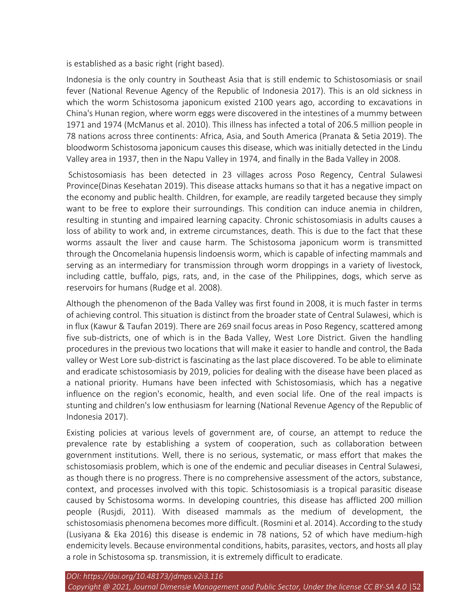is established as a basic right (right based).

Indonesia is the only country in Southeast Asia that is still endemic to Schistosomiasis or snail fever (National Revenue Agency of the Republic of Indonesia 2017). This is an old sickness in which the worm Schistosoma japonicum existed 2100 years ago, according to excavations in China's Hunan region, where worm eggs were discovered in the intestines of a mummy between 1971 and 1974 (McManus et al. 2010). This illness has infected a total of 206.5 million people in 78 nations across three continents: Africa, Asia, and South America (Pranata & Setia 2019). The bloodworm Schistosoma japonicum causes this disease, which was initially detected in the Lindu Valley area in 1937, then in the Napu Valley in 1974, and finally in the Bada Valley in 2008.

Schistosomiasis has been detected in 23 villages across Poso Regency, Central Sulawesi Province(Dinas Kesehatan 2019). This disease attacks humans so that it has a negative impact on the economy and public health. Children, for example, are readily targeted because they simply want to be free to explore their surroundings. This condition can induce anemia in children, resulting in stunting and impaired learning capacity. Chronic schistosomiasis in adults causes a loss of ability to work and, in extreme circumstances, death. This is due to the fact that these worms assault the liver and cause harm. The Schistosoma japonicum worm is transmitted through the Oncomelania hupensis lindoensis worm, which is capable of infecting mammals and serving as an intermediary for transmission through worm droppings in a variety of livestock, including cattle, buffalo, pigs, rats, and, in the case of the Philippines, dogs, which serve as reservoirs for humans (Rudge et al. 2008).

Although the phenomenon of the Bada Valley was first found in 2008, it is much faster in terms of achieving control. This situation is distinct from the broader state of Central Sulawesi, which is in flux (Kawur & Taufan 2019). There are 269 snail focus areas in Poso Regency, scattered among five sub-districts, one of which is in the Bada Valley, West Lore District. Given the handling procedures in the previous two locations that will make it easier to handle and control, the Bada valley or West Lore sub-district is fascinating as the last place discovered. To be able to eliminate and eradicate schistosomiasis by 2019, policies for dealing with the disease have been placed as a national priority. Humans have been infected with Schistosomiasis, which has a negative influence on the region's economic, health, and even social life. One of the real impacts is stunting and children's low enthusiasm for learning (National Revenue Agency of the Republic of Indonesia 2017).

Existing policies at various levels of government are, of course, an attempt to reduce the prevalence rate by establishing a system of cooperation, such as collaboration between government institutions. Well, there is no serious, systematic, or mass effort that makes the schistosomiasis problem, which is one of the endemic and peculiar diseases in Central Sulawesi, as though there is no progress. There is no comprehensive assessment of the actors, substance, context, and processes involved with this topic. Schistosomiasis is a tropical parasitic disease caused by Schistosoma worms. In developing countries, this disease has afflicted 200 million people (Rusjdi, 2011). With diseased mammals as the medium of development, the schistosomiasis phenomena becomes more difficult. (Rosmini et al. 2014). According to the study (Lusiyana & Eka 2016) this disease is endemic in 78 nations, 52 of which have medium-high endemicity levels. Because environmental conditions, habits, parasites, vectors, and hosts all play a role in Schistosoma sp. transmission, it is extremely difficult to eradicate.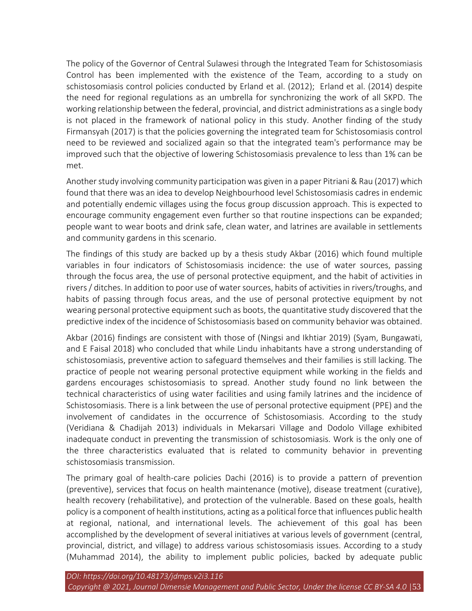The policy of the Governor of Central Sulawesi through the Integrated Team for Schistosomiasis Control has been implemented with the existence of the Team, according to a study on schistosomiasis control policies conducted by Erland et al. (2012); Erland et al. (2014) despite the need for regional regulations as an umbrella for synchronizing the work of all SKPD. The working relationship between the federal, provincial, and district administrations as a single body is not placed in the framework of national policy in this study. Another finding of the study Firmansyah (2017) is that the policies governing the integrated team for Schistosomiasis control need to be reviewed and socialized again so that the integrated team's performance may be improved such that the objective of lowering Schistosomiasis prevalence to less than 1% can be met.

Another study involving community participation was given in a paper Pitriani & Rau (2017) which found that there was an idea to develop Neighbourhood level Schistosomiasis cadres in endemic and potentially endemic villages using the focus group discussion approach. This is expected to encourage community engagement even further so that routine inspections can be expanded; people want to wear boots and drink safe, clean water, and latrines are available in settlements and community gardens in this scenario.

The findings of this study are backed up by a thesis study Akbar (2016) which found multiple variables in four indicators of Schistosomiasis incidence: the use of water sources, passing through the focus area, the use of personal protective equipment, and the habit of activities in rivers / ditches. In addition to poor use of water sources, habits of activities in rivers/troughs, and habits of passing through focus areas, and the use of personal protective equipment by not wearing personal protective equipment such as boots, the quantitative study discovered that the predictive index of the incidence of Schistosomiasis based on community behavior was obtained.

Akbar (2016) findings are consistent with those of (Ningsi and Ikhtiar 2019) (Syam, Bungawati, and E Faisal 2018) who concluded that while Lindu inhabitants have a strong understanding of schistosomiasis, preventive action to safeguard themselves and their families is still lacking. The practice of people not wearing personal protective equipment while working in the fields and gardens encourages schistosomiasis to spread. Another study found no link between the technical characteristics of using water facilities and using family latrines and the incidence of Schistosomiasis. There is a link between the use of personal protective equipment (PPE) and the involvement of candidates in the occurrence of Schistosomiasis. According to the study (Veridiana & Chadijah 2013) individuals in Mekarsari Village and Dodolo Village exhibited inadequate conduct in preventing the transmission of schistosomiasis. Work is the only one of the three characteristics evaluated that is related to community behavior in preventing schistosomiasis transmission.

The primary goal of health-care policies Dachi (2016) is to provide a pattern of prevention (preventive), services that focus on health maintenance (motive), disease treatment (curative), health recovery (rehabilitative), and protection of the vulnerable. Based on these goals, health policy is a component of health institutions, acting as a political force that influences public health at regional, national, and international levels. The achievement of this goal has been accomplished by the development of several initiatives at various levels of government (central, provincial, district, and village) to address various schistosomiasis issues. According to a study (Muhammad 2014), the ability to implement public policies, backed by adequate public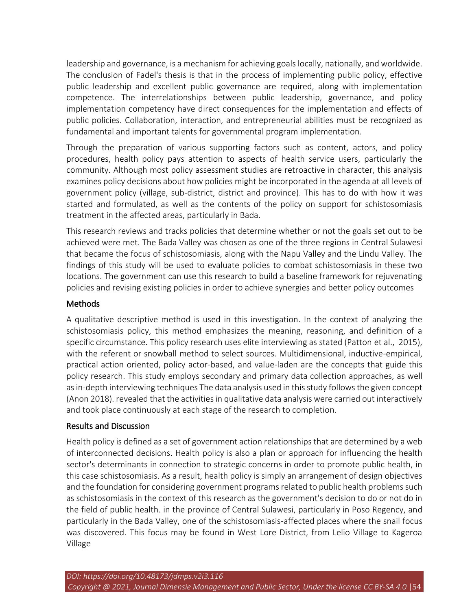leadership and governance, is a mechanism for achieving goals locally, nationally, and worldwide. The conclusion of Fadel's thesis is that in the process of implementing public policy, effective public leadership and excellent public governance are required, along with implementation competence. The interrelationships between public leadership, governance, and policy implementation competency have direct consequences for the implementation and effects of public policies. Collaboration, interaction, and entrepreneurial abilities must be recognized as fundamental and important talents for governmental program implementation.

Through the preparation of various supporting factors such as content, actors, and policy procedures, health policy pays attention to aspects of health service users, particularly the community. Although most policy assessment studies are retroactive in character, this analysis examines policy decisions about how policies might be incorporated in the agenda at all levels of government policy (village, sub-district, district and province). This has to do with how it was started and formulated, as well as the contents of the policy on support for schistosomiasis treatment in the affected areas, particularly in Bada.

This research reviews and tracks policies that determine whether or not the goals set out to be achieved were met. The Bada Valley was chosen as one of the three regions in Central Sulawesi that became the focus of schistosomiasis, along with the Napu Valley and the Lindu Valley. The findings of this study will be used to evaluate policies to combat schistosomiasis in these two locations. The government can use this research to build a baseline framework for rejuvenating policies and revising existing policies in order to achieve synergies and better policy outcomes

## Methods

A qualitative descriptive method is used in this investigation. In the context of analyzing the schistosomiasis policy, this method emphasizes the meaning, reasoning, and definition of a specific circumstance. This policy research uses elite interviewing as stated (Patton et al., 2015), with the referent or snowball method to select sources. Multidimensional, inductive-empirical, practical action oriented, policy actor-based, and value-laden are the concepts that guide this policy research. This study employs secondary and primary data collection approaches, as well as in-depth interviewing techniques The data analysis used in this study follows the given concept (Anon 2018). revealed that the activities in qualitative data analysis were carried out interactively and took place continuously at each stage of the research to completion.

# Results and Discussion

Health policy is defined as a set of government action relationships that are determined by a web of interconnected decisions. Health policy is also a plan or approach for influencing the health sector's determinants in connection to strategic concerns in order to promote public health, in this case schistosomiasis. As a result, health policy is simply an arrangement of design objectives and the foundation for considering government programs related to public health problems such as schistosomiasis in the context of this research as the government's decision to do or not do in the field of public health. in the province of Central Sulawesi, particularly in Poso Regency, and particularly in the Bada Valley, one of the schistosomiasis-affected places where the snail focus was discovered. This focus may be found in West Lore District, from Lelio Village to Kageroa Village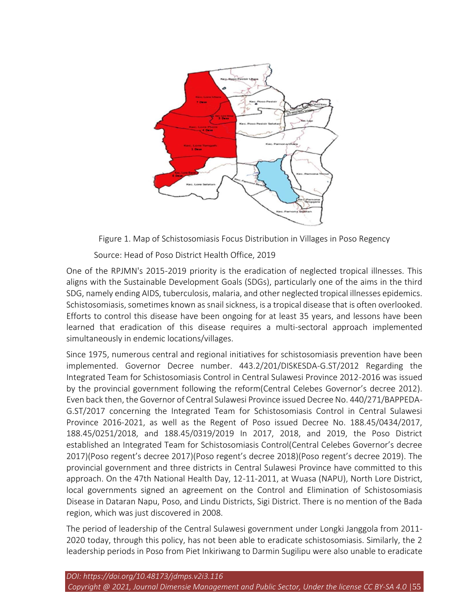

Figure 1. Map of Schistosomiasis Focus Distribution in Villages in Poso Regency

Source: Head of Poso District Health Office, 2019

One of the RPJMN's 2015-2019 priority is the eradication of neglected tropical illnesses. This aligns with the Sustainable Development Goals (SDGs), particularly one of the aims in the third SDG, namely ending AIDS, tuberculosis, malaria, and other neglected tropical illnesses epidemics. Schistosomiasis, sometimes known as snail sickness, is a tropical disease that is often overlooked. Efforts to control this disease have been ongoing for at least 35 years, and lessons have been learned that eradication of this disease requires a multi-sectoral approach implemented simultaneously in endemic locations/villages.

Since 1975, numerous central and regional initiatives for schistosomiasis prevention have been implemented. Governor Decree number. 443.2/201/DISKESDA-G.ST/2012 Regarding the Integrated Team for Schistosomiasis Control in Central Sulawesi Province 2012-2016 was issued by the provincial government following the reform(Central Celebes Governor's decree 2012). Even back then, the Governor of Central Sulawesi Province issued Decree No. 440/271/BAPPEDA-G.ST/2017 concerning the Integrated Team for Schistosomiasis Control in Central Sulawesi Province 2016-2021, as well as the Regent of Poso issued Decree No. 188.45/0434/2017, 188.45/0251/2018, and 188.45/0319/2019 In 2017, 2018, and 2019, the Poso District established an Integrated Team for Schistosomiasis Control(Central Celebes Governor's decree 2017)(Poso regent's decree 2017)(Poso regent's decree 2018)(Poso regent's decree 2019). The provincial government and three districts in Central Sulawesi Province have committed to this approach. On the 47th National Health Day, 12-11-2011, at Wuasa (NAPU), North Lore District, local governments signed an agreement on the Control and Elimination of Schistosomiasis Disease in Dataran Napu, Poso, and Lindu Districts, Sigi District. There is no mention of the Bada region, which was just discovered in 2008.

The period of leadership of the Central Sulawesi government under Longki Janggola from 2011- 2020 today, through this policy, has not been able to eradicate schistosomiasis. Similarly, the 2 leadership periods in Poso from Piet Inkiriwang to Darmin Sugilipu were also unable to eradicate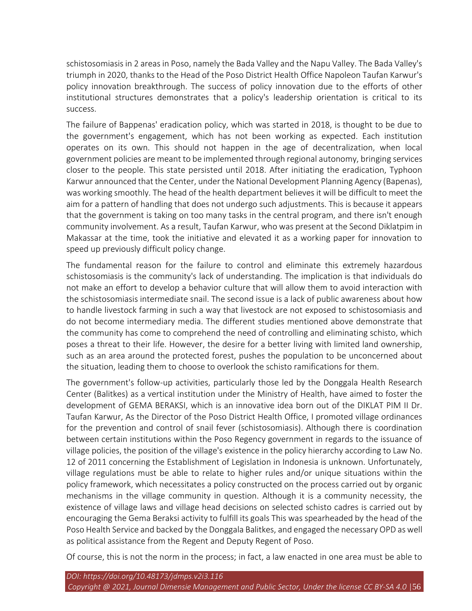schistosomiasis in 2 areas in Poso, namely the Bada Valley and the Napu Valley. The Bada Valley's triumph in 2020, thanks to the Head of the Poso District Health Office Napoleon Taufan Karwur's policy innovation breakthrough. The success of policy innovation due to the efforts of other institutional structures demonstrates that a policy's leadership orientation is critical to its success.

The failure of Bappenas' eradication policy, which was started in 2018, is thought to be due to the government's engagement, which has not been working as expected. Each institution operates on its own. This should not happen in the age of decentralization, when local government policies are meant to be implemented through regional autonomy, bringing services closer to the people. This state persisted until 2018. After initiating the eradication, Typhoon Karwur announced that the Center, under the National Development Planning Agency (Bapenas), was working smoothly. The head of the health department believes it will be difficult to meet the aim for a pattern of handling that does not undergo such adjustments. This is because it appears that the government is taking on too many tasks in the central program, and there isn't enough community involvement. As a result, Taufan Karwur, who was present at the Second Diklatpim in Makassar at the time, took the initiative and elevated it as a working paper for innovation to speed up previously difficult policy change.

The fundamental reason for the failure to control and eliminate this extremely hazardous schistosomiasis is the community's lack of understanding. The implication is that individuals do not make an effort to develop a behavior culture that will allow them to avoid interaction with the schistosomiasis intermediate snail. The second issue is a lack of public awareness about how to handle livestock farming in such a way that livestock are not exposed to schistosomiasis and do not become intermediary media. The different studies mentioned above demonstrate that the community has come to comprehend the need of controlling and eliminating schisto, which poses a threat to their life. However, the desire for a better living with limited land ownership, such as an area around the protected forest, pushes the population to be unconcerned about the situation, leading them to choose to overlook the schisto ramifications for them.

The government's follow-up activities, particularly those led by the Donggala Health Research Center (Balitkes) as a vertical institution under the Ministry of Health, have aimed to foster the development of GEMA BERAKSI, which is an innovative idea born out of the DIKLAT PIM II Dr. Taufan Karwur, As the Director of the Poso District Health Office, I promoted village ordinances for the prevention and control of snail fever (schistosomiasis). Although there is coordination between certain institutions within the Poso Regency government in regards to the issuance of village policies, the position of the village's existence in the policy hierarchy according to Law No. 12 of 2011 concerning the Establishment of Legislation in Indonesia is unknown. Unfortunately, village regulations must be able to relate to higher rules and/or unique situations within the policy framework, which necessitates a policy constructed on the process carried out by organic mechanisms in the village community in question. Although it is a community necessity, the existence of village laws and village head decisions on selected schisto cadres is carried out by encouraging the Gema Beraksi activity to fulfill its goals This was spearheaded by the head of the Poso Health Service and backed by the Donggala Balitkes, and engaged the necessary OPD as well as political assistance from the Regent and Deputy Regent of Poso.

Of course, this is not the norm in the process; in fact, a law enacted in one area must be able to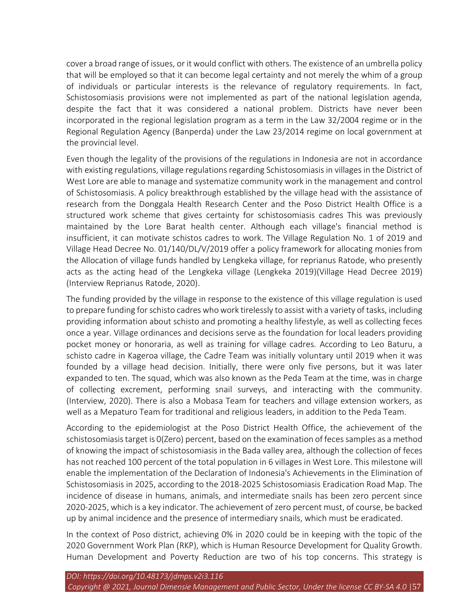cover a broad range of issues, or it would conflict with others. The existence of an umbrella policy that will be employed so that it can become legal certainty and not merely the whim of a group of individuals or particular interests is the relevance of regulatory requirements. In fact, Schistosomiasis provisions were not implemented as part of the national legislation agenda, despite the fact that it was considered a national problem. Districts have never been incorporated in the regional legislation program as a term in the Law 32/2004 regime or in the Regional Regulation Agency (Banperda) under the Law 23/2014 regime on local government at the provincial level.

Even though the legality of the provisions of the regulations in Indonesia are not in accordance with existing regulations, village regulations regarding Schistosomiasis in villages in the District of West Lore are able to manage and systematize community work in the management and control of Schistosomiasis. A policy breakthrough established by the village head with the assistance of research from the Donggala Health Research Center and the Poso District Health Office is a structured work scheme that gives certainty for schistosomiasis cadres This was previously maintained by the Lore Barat health center. Although each village's financial method is insufficient, it can motivate schistos cadres to work. The Village Regulation No. 1 of 2019 and Village Head Decree No. 01/140/DL/V/2019 offer a policy framework for allocating monies from the Allocation of village funds handled by Lengkeka village, for reprianus Ratode, who presently acts as the acting head of the Lengkeka village (Lengkeka 2019)(Village Head Decree 2019) (Interview Reprianus Ratode, 2020).

The funding provided by the village in response to the existence of this village regulation is used to prepare funding for schisto cadres who work tirelessly to assist with a variety of tasks, including providing information about schisto and promoting a healthy lifestyle, as well as collecting feces once a year. Village ordinances and decisions serve as the foundation for local leaders providing pocket money or honoraria, as well as training for village cadres. According to Leo Baturu, a schisto cadre in Kageroa village, the Cadre Team was initially voluntary until 2019 when it was founded by a village head decision. Initially, there were only five persons, but it was later expanded to ten. The squad, which was also known as the Peda Team at the time, was in charge of collecting excrement, performing snail surveys, and interacting with the community. (Interview, 2020). There is also a Mobasa Team for teachers and village extension workers, as well as a Mepaturo Team for traditional and religious leaders, in addition to the Peda Team.

According to the epidemiologist at the Poso District Health Office, the achievement of the schistosomiasis target is 0(Zero) percent, based on the examination of feces samples as a method of knowing the impact of schistosomiasis in the Bada valley area, although the collection of feces has not reached 100 percent of the total population in 6 villages in West Lore. This milestone will enable the implementation of the Declaration of Indonesia's Achievements in the Elimination of Schistosomiasis in 2025, according to the 2018-2025 Schistosomiasis Eradication Road Map. The incidence of disease in humans, animals, and intermediate snails has been zero percent since 2020-2025, which is a key indicator. The achievement of zero percent must, of course, be backed up by animal incidence and the presence of intermediary snails, which must be eradicated.

In the context of Poso district, achieving 0% in 2020 could be in keeping with the topic of the 2020 Government Work Plan (RKP), which is Human Resource Development for Quality Growth. Human Development and Poverty Reduction are two of his top concerns. This strategy is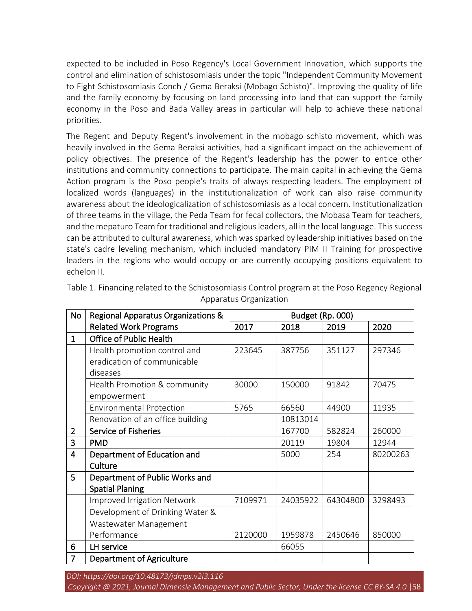expected to be included in Poso Regency's Local Government Innovation, which supports the control and elimination of schistosomiasis under the topic "Independent Community Movement to Fight Schistosomiasis Conch / Gema Beraksi (Mobago Schisto)". Improving the quality of life and the family economy by focusing on land processing into land that can support the family economy in the Poso and Bada Valley areas in particular will help to achieve these national priorities.

The Regent and Deputy Regent's involvement in the mobago schisto movement, which was heavily involved in the Gema Beraksi activities, had a significant impact on the achievement of policy objectives. The presence of the Regent's leadership has the power to entice other institutions and community connections to participate. The main capital in achieving the Gema Action program is the Poso people's traits of always respecting leaders. The employment of localized words (languages) in the institutionalization of work can also raise community awareness about the ideologicalization of schistosomiasis as a local concern. Institutionalization of three teams in the village, the Peda Team for fecal collectors, the Mobasa Team for teachers, and the mepaturo Team for traditional and religious leaders, all in the local language. This success can be attributed to cultural awareness, which was sparked by leadership initiatives based on the state's cadre leveling mechanism, which included mandatory PIM II Training for prospective leaders in the regions who would occupy or are currently occupying positions equivalent to echelon II.

| <b>No</b>      | Regional Apparatus Organizations & | Budget (Rp. 000) |          |          |          |  |  |
|----------------|------------------------------------|------------------|----------|----------|----------|--|--|
|                | <b>Related Work Programs</b>       | 2017             | 2018     | 2019     | 2020     |  |  |
| $\mathbf{1}$   | <b>Office of Public Health</b>     |                  |          |          |          |  |  |
|                | Health promotion control and       | 223645           | 387756   | 351127   | 297346   |  |  |
|                | eradication of communicable        |                  |          |          |          |  |  |
|                | diseases                           |                  |          |          |          |  |  |
|                | Health Promotion & community       | 30000            | 150000   | 91842    | 70475    |  |  |
|                | empowerment                        |                  |          |          |          |  |  |
|                | <b>Environmental Protection</b>    | 5765             | 66560    | 44900    | 11935    |  |  |
|                | Renovation of an office building   |                  | 10813014 |          |          |  |  |
| $\overline{2}$ | <b>Service of Fisheries</b>        |                  | 167700   | 582824   | 260000   |  |  |
| $\overline{3}$ | <b>PMD</b>                         |                  | 20119    | 19804    | 12944    |  |  |
| 4              | Department of Education and        |                  | 5000     | 254      | 80200263 |  |  |
|                | Culture                            |                  |          |          |          |  |  |
| 5              | Department of Public Works and     |                  |          |          |          |  |  |
|                | <b>Spatial Planing</b>             |                  |          |          |          |  |  |
|                | Improved Irrigation Network        | 7109971          | 24035922 | 64304800 | 3298493  |  |  |
|                | Development of Drinking Water &    |                  |          |          |          |  |  |
|                | Wastewater Management              |                  |          |          |          |  |  |
|                | Performance                        | 2120000          | 1959878  | 2450646  | 850000   |  |  |
| 6              | LH service                         |                  | 66055    |          |          |  |  |
| 7              | <b>Department of Agriculture</b>   |                  |          |          |          |  |  |

Table 1. Financing related to the Schistosomiasis Control program at the Poso Regency Regional Apparatus Organization

*DOI: https://doi.org/10.48173/jdmps.v2i3.116*

*Copyright @ 2021, Journal Dimensie Management and Public Sector, Under the license CC BY-SA 4.0* |58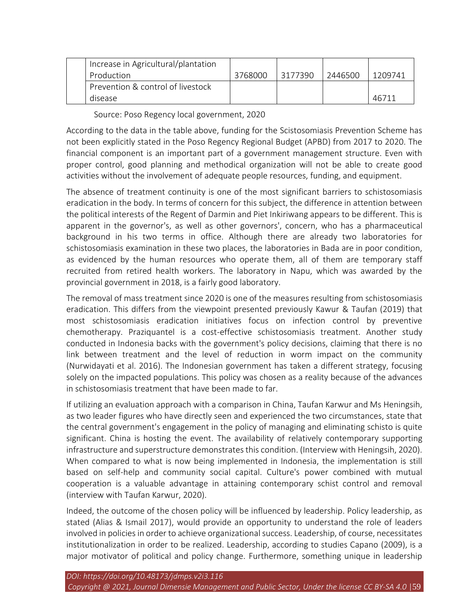|  | Increase in Agricultural/plantation |         |         |         |         |
|--|-------------------------------------|---------|---------|---------|---------|
|  | Production                          | 3768000 | 3177390 | 2446500 | 1209741 |
|  | Prevention & control of livestock   |         |         |         |         |
|  | disease                             |         |         |         | 46711   |

Source: Poso Regency local government, 2020

According to the data in the table above, funding for the Scistosomiasis Prevention Scheme has not been explicitly stated in the Poso Regency Regional Budget (APBD) from 2017 to 2020. The financial component is an important part of a government management structure. Even with proper control, good planning and methodical organization will not be able to create good activities without the involvement of adequate people resources, funding, and equipment.

The absence of treatment continuity is one of the most significant barriers to schistosomiasis eradication in the body. In terms of concern for this subject, the difference in attention between the political interests of the Regent of Darmin and Piet Inkiriwang appears to be different. This is apparent in the governor's, as well as other governors', concern, who has a pharmaceutical background in his two terms in office. Although there are already two laboratories for schistosomiasis examination in these two places, the laboratories in Bada are in poor condition, as evidenced by the human resources who operate them, all of them are temporary staff recruited from retired health workers. The laboratory in Napu, which was awarded by the provincial government in 2018, is a fairly good laboratory.

The removal of mass treatment since 2020 is one of the measures resulting from schistosomiasis eradication. This differs from the viewpoint presented previously Kawur & Taufan (2019) that most schistosomiasis eradication initiatives focus on infection control by preventive chemotherapy. Praziquantel is a cost-effective schistosomiasis treatment. Another study conducted in Indonesia backs with the government's policy decisions, claiming that there is no link between treatment and the level of reduction in worm impact on the community (Nurwidayati et al. 2016). The Indonesian government has taken a different strategy, focusing solely on the impacted populations. This policy was chosen as a reality because of the advances in schistosomiasis treatment that have been made to far.

If utilizing an evaluation approach with a comparison in China, Taufan Karwur and Ms Heningsih, as two leader figures who have directly seen and experienced the two circumstances, state that the central government's engagement in the policy of managing and eliminating schisto is quite significant. China is hosting the event. The availability of relatively contemporary supporting infrastructure and superstructure demonstrates this condition. (Interview with Heningsih, 2020). When compared to what is now being implemented in Indonesia, the implementation is still based on self-help and community social capital. Culture's power combined with mutual cooperation is a valuable advantage in attaining contemporary schist control and removal (interview with Taufan Karwur, 2020).

Indeed, the outcome of the chosen policy will be influenced by leadership. Policy leadership, as stated (Alias & Ismail 2017), would provide an opportunity to understand the role of leaders involved in policies in order to achieve organizational success. Leadership, of course, necessitates institutionalization in order to be realized. Leadership, according to studies Capano (2009), is a major motivator of political and policy change. Furthermore, something unique in leadership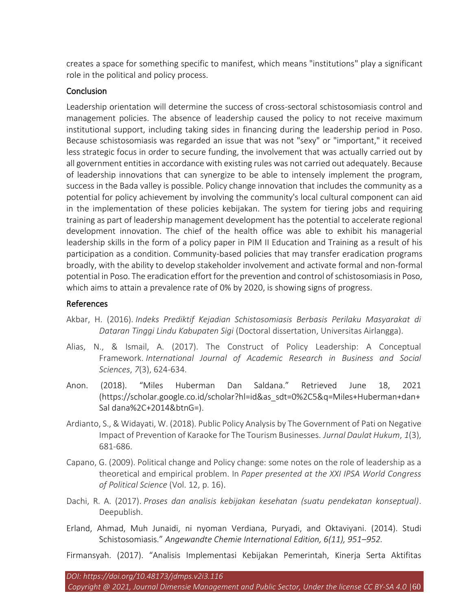creates a space for something specific to manifest, which means "institutions" play a significant role in the political and policy process.

## **Conclusion**

Leadership orientation will determine the success of cross-sectoral schistosomiasis control and management policies. The absence of leadership caused the policy to not receive maximum institutional support, including taking sides in financing during the leadership period in Poso. Because schistosomiasis was regarded an issue that was not "sexy" or "important," it received less strategic focus in order to secure funding, the involvement that was actually carried out by all government entities in accordance with existing rules was not carried out adequately. Because of leadership innovations that can synergize to be able to intensely implement the program, success in the Bada valley is possible. Policy change innovation that includes the community as a potential for policy achievement by involving the community's local cultural component can aid in the implementation of these policies kebijakan. The system for tiering jobs and requiring training as part of leadership management development has the potential to accelerate regional development innovation. The chief of the health office was able to exhibit his managerial leadership skills in the form of a policy paper in PIM II Education and Training as a result of his participation as a condition. Community-based policies that may transfer eradication programs broadly, with the ability to develop stakeholder involvement and activate formal and non-formal potential in Poso. The eradication effort for the prevention and control of schistosomiasis in Poso, which aims to attain a prevalence rate of 0% by 2020, is showing signs of progress.

## References

- Akbar, H. (2016). *Indeks Prediktif Kejadian Schistosomiasis Berbasis Perilaku Masyarakat di Dataran Tinggi Lindu Kabupaten Sigi* (Doctoral dissertation, Universitas Airlangga).
- Alias, N., & Ismail, A. (2017). The Construct of Policy Leadership: A Conceptual Framework. *International Journal of Academic Research in Business and Social Sciences*, *7*(3), 624-634.
- Anon. (2018). "Miles Huberman Dan Saldana." Retrieved June 18, 2021 (https://scholar.google.co.id/scholar?hl=id&as\_sdt=0%2C5&q=Miles+Huberman+dan+ Sal dana%2C+2014&btnG=).
- Ardianto, S., & Widayati, W. (2018). Public Policy Analysis by The Government of Pati on Negative Impact of Prevention of Karaoke for The Tourism Businesses. *Jurnal Daulat Hukum*, *1*(3), 681-686.
- Capano, G. (2009). Political change and Policy change: some notes on the role of leadership as a theoretical and empirical problem. In *Paper presented at the XXI IPSA World Congress of Political Science* (Vol. 12, p. 16).
- Dachi, R. A. (2017). *Proses dan analisis kebijakan kesehatan (suatu pendekatan konseptual)*. Deepublish.
- Erland, Ahmad, Muh Junaidi, ni nyoman Verdiana, Puryadi, and Oktaviyani. (2014). Studi Schistosomiasis." *Angewandte Chemie International Edition, 6(11), 951–952.*

Firmansyah. (2017). "Analisis Implementasi Kebijakan Pemerintah, Kinerja Serta Aktifitas

*Copyright @ 2021, Journal Dimensie Management and Public Sector, Under the license CC BY-SA 4.0* |60